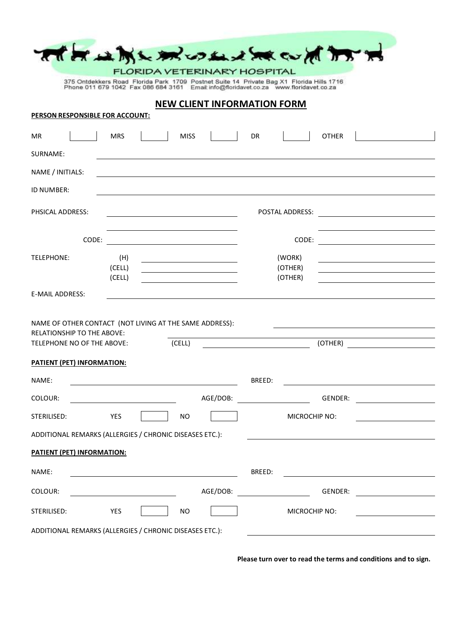|                                                                                       |                  |                                                                                                                                                                                                                                     | THE MUMLING COMMANDED                                                                    |                                                                                                                                                                                                                                     |  |
|---------------------------------------------------------------------------------------|------------------|-------------------------------------------------------------------------------------------------------------------------------------------------------------------------------------------------------------------------------------|------------------------------------------------------------------------------------------|-------------------------------------------------------------------------------------------------------------------------------------------------------------------------------------------------------------------------------------|--|
|                                                                                       |                  | FLORIDA VETERINARY HOSPITAL                                                                                                                                                                                                         | 375 Ontdekkers Road Florida Park 1709 Postnet Suite 14 Private Bag X1 Florida Hills 1716 |                                                                                                                                                                                                                                     |  |
|                                                                                       |                  |                                                                                                                                                                                                                                     | Phone 011 679 1042 Fax 086 684 3161 Email: info@floridavet.co.za www.floridavet.co.za    |                                                                                                                                                                                                                                     |  |
| <b>NEW CLIENT INFORMATION FORM</b><br>PERSON RESPONSIBLE FOR ACCOUNT:                 |                  |                                                                                                                                                                                                                                     |                                                                                          |                                                                                                                                                                                                                                     |  |
| MR.                                                                                   | <b>MRS</b>       | <b>MISS</b>                                                                                                                                                                                                                         | <b>DR</b>                                                                                | <b>OTHER</b>                                                                                                                                                                                                                        |  |
| SURNAME:                                                                              |                  |                                                                                                                                                                                                                                     |                                                                                          |                                                                                                                                                                                                                                     |  |
| NAME / INITIALS:                                                                      |                  |                                                                                                                                                                                                                                     |                                                                                          |                                                                                                                                                                                                                                     |  |
| ID NUMBER:                                                                            |                  |                                                                                                                                                                                                                                     |                                                                                          |                                                                                                                                                                                                                                     |  |
| <b>PHSICAL ADDRESS:</b>                                                               |                  |                                                                                                                                                                                                                                     | POSTAL ADDRESS:                                                                          | <u> 1980 - Jan Barat, martin a</u>                                                                                                                                                                                                  |  |
|                                                                                       |                  | <b>CODE:</b> the contract of the contract of the contract of the contract of the contract of the contract of the contract of the contract of the contract of the contract of the contract of the contract of the contract of the co |                                                                                          | <b>CODE:</b> the contract of the contract of the contract of the contract of the contract of the contract of the contract of the contract of the contract of the contract of the contract of the contract of the contract of the co |  |
| TELEPHONE:                                                                            | (H)              |                                                                                                                                                                                                                                     | (WORK)                                                                                   |                                                                                                                                                                                                                                     |  |
|                                                                                       | (CELL)<br>(CELL) |                                                                                                                                                                                                                                     | (OTHER)<br>(OTHER)                                                                       |                                                                                                                                                                                                                                     |  |
| E-MAIL ADDRESS:                                                                       |                  |                                                                                                                                                                                                                                     |                                                                                          |                                                                                                                                                                                                                                     |  |
| NAME OF OTHER CONTACT (NOT LIVING AT THE SAME ADDRESS):<br>RELATIONSHIP TO THE ABOVE: |                  |                                                                                                                                                                                                                                     |                                                                                          |                                                                                                                                                                                                                                     |  |
| (OTHER)<br>TELEPHONE NO OF THE ABOVE:<br>(CELL)                                       |                  |                                                                                                                                                                                                                                     |                                                                                          |                                                                                                                                                                                                                                     |  |
| <b>PATIENT (PET) INFORMATION:</b><br>NAME:                                            |                  |                                                                                                                                                                                                                                     | BREED:                                                                                   |                                                                                                                                                                                                                                     |  |
| COLOUR:                                                                               |                  | AGE/DOB:                                                                                                                                                                                                                            |                                                                                          | GENDER:                                                                                                                                                                                                                             |  |
| STERILISED:                                                                           | <b>YES</b>       | <b>NO</b>                                                                                                                                                                                                                           | MICROCHIP NO:                                                                            |                                                                                                                                                                                                                                     |  |
| ADDITIONAL REMARKS (ALLERGIES / CHRONIC DISEASES ETC.):                               |                  |                                                                                                                                                                                                                                     |                                                                                          |                                                                                                                                                                                                                                     |  |
| PATIENT (PET) INFORMATION:                                                            |                  |                                                                                                                                                                                                                                     |                                                                                          |                                                                                                                                                                                                                                     |  |
| NAME:                                                                                 |                  |                                                                                                                                                                                                                                     | BREED:                                                                                   |                                                                                                                                                                                                                                     |  |
| COLOUR:                                                                               |                  | AGE/DOB:                                                                                                                                                                                                                            |                                                                                          | GENDER:                                                                                                                                                                                                                             |  |
| STERILISED:                                                                           | YES              | <b>NO</b>                                                                                                                                                                                                                           | MICROCHIP NO:                                                                            |                                                                                                                                                                                                                                     |  |
| ADDITIONAL REMARKS (ALLERGIES / CHRONIC DISEASES ETC.):                               |                  |                                                                                                                                                                                                                                     |                                                                                          |                                                                                                                                                                                                                                     |  |

**Please turn over to read the terms and conditions and to sign.**